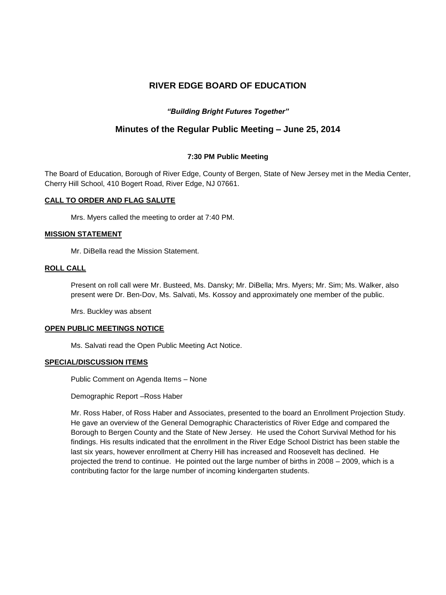# **RIVER EDGE BOARD OF EDUCATION**

# *"Building Bright Futures Together"*

# **Minutes of the Regular Public Meeting – June 25, 2014**

# **7:30 PM Public Meeting**

The Board of Education, Borough of River Edge, County of Bergen, State of New Jersey met in the Media Center, Cherry Hill School, 410 Bogert Road, River Edge, NJ 07661.

### **CALL TO ORDER AND FLAG SALUTE**

Mrs. Myers called the meeting to order at 7:40 PM.

# **MISSION STATEMENT**

Mr. DiBella read the Mission Statement.

### **ROLL CALL**

Present on roll call were Mr. Busteed, Ms. Dansky; Mr. DiBella; Mrs. Myers; Mr. Sim; Ms. Walker, also present were Dr. Ben-Dov, Ms. Salvati, Ms. Kossoy and approximately one member of the public.

Mrs. Buckley was absent

### **OPEN PUBLIC MEETINGS NOTICE**

Ms. Salvati read the Open Public Meeting Act Notice.

### **SPECIAL/DISCUSSION ITEMS**

Public Comment on Agenda Items – None

Demographic Report –Ross Haber

Mr. Ross Haber, of Ross Haber and Associates, presented to the board an Enrollment Projection Study. He gave an overview of the General Demographic Characteristics of River Edge and compared the Borough to Bergen County and the State of New Jersey. He used the Cohort Survival Method for his findings. His results indicated that the enrollment in the River Edge School District has been stable the last six years, however enrollment at Cherry Hill has increased and Roosevelt has declined. He projected the trend to continue. He pointed out the large number of births in 2008 – 2009, which is a contributing factor for the large number of incoming kindergarten students.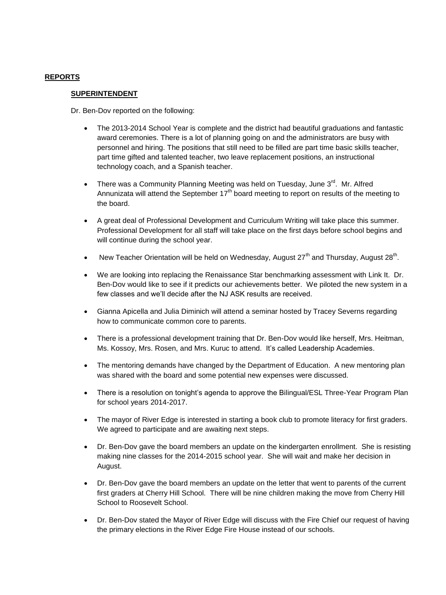# **REPORTS**

#### **SUPERINTENDENT**

Dr. Ben-Dov reported on the following:

- The 2013-2014 School Year is complete and the district had beautiful graduations and fantastic award ceremonies. There is a lot of planning going on and the administrators are busy with personnel and hiring. The positions that still need to be filled are part time basic skills teacher, part time gifted and talented teacher, two leave replacement positions, an instructional technology coach, and a Spanish teacher.
- There was a Community Planning Meeting was held on Tuesday, June 3<sup>rd</sup>. Mr. Alfred Annunizata will attend the September  $17<sup>th</sup>$  board meeting to report on results of the meeting to the board.
- A great deal of Professional Development and Curriculum Writing will take place this summer. Professional Development for all staff will take place on the first days before school begins and will continue during the school year.
- New Teacher Orientation will be held on Wednesday, August 27<sup>th</sup> and Thursday, August 28<sup>th</sup>.
- We are looking into replacing the Renaissance Star benchmarking assessment with Link It. Dr. Ben-Dov would like to see if it predicts our achievements better. We piloted the new system in a few classes and we'll decide after the NJ ASK results are received.
- Gianna Apicella and Julia Diminich will attend a seminar hosted by Tracey Severns regarding how to communicate common core to parents.
- There is a professional development training that Dr. Ben-Dov would like herself, Mrs. Heitman, Ms. Kossoy, Mrs. Rosen, and Mrs. Kuruc to attend. It's called Leadership Academies.
- The mentoring demands have changed by the Department of Education. A new mentoring plan was shared with the board and some potential new expenses were discussed.
- There is a resolution on tonight's agenda to approve the Bilingual/ESL Three-Year Program Plan for school years 2014-2017.
- The mayor of River Edge is interested in starting a book club to promote literacy for first graders. We agreed to participate and are awaiting next steps.
- Dr. Ben-Dov gave the board members an update on the kindergarten enrollment. She is resisting making nine classes for the 2014-2015 school year. She will wait and make her decision in August.
- Dr. Ben-Dov gave the board members an update on the letter that went to parents of the current first graders at Cherry Hill School. There will be nine children making the move from Cherry Hill School to Roosevelt School.
- Dr. Ben-Dov stated the Mayor of River Edge will discuss with the Fire Chief our request of having the primary elections in the River Edge Fire House instead of our schools.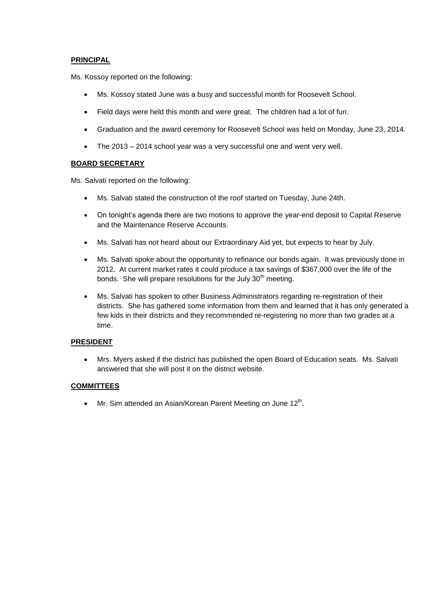# **PRINCIPAL**

Ms. Kossoy reported on the following:

- Ms. Kossoy stated June was a busy and successful month for Roosevelt School.
- Field days were held this month and were great. The children had a lot of fun.
- Graduation and the award ceremony for Roosevelt School was held on Monday, June 23, 2014.
- The 2013 2014 school year was a very successful one and went very well.

# **BOARD SECRETARY**

Ms. Salvati reported on the following:

- Ms. Salvati stated the construction of the roof started on Tuesday, June 24th.
- On tonight's agenda there are two motions to approve the year-end deposit to Capital Reserve and the Maintenance Reserve Accounts.
- Ms. Salvati has not heard about our Extraordinary Aid yet, but expects to hear by July.
- Ms. Salvati spoke about the opportunity to refinance our bonds again. It was previously done in 2012. At current market rates it could produce a tax savings of \$367,000 over the life of the bonds. She will prepare resolutions for the July  $30<sup>th</sup>$  meeting.
- Ms. Salvati has spoken to other Business Administrators regarding re-registration of their districts. She has gathered some information from them and learned that it has only generated a few kids in their districts and they recommended re-registering no more than two grades at a time.

### **PRESIDENT**

 Mrs. Myers asked if the district has published the open Board of Education seats. Ms. Salvati answered that she will post it on the district website.

# **COMMITTEES**

 $\bullet$  Mr. Sim attended an Asian/Korean Parent Meeting on June 12<sup>th</sup>.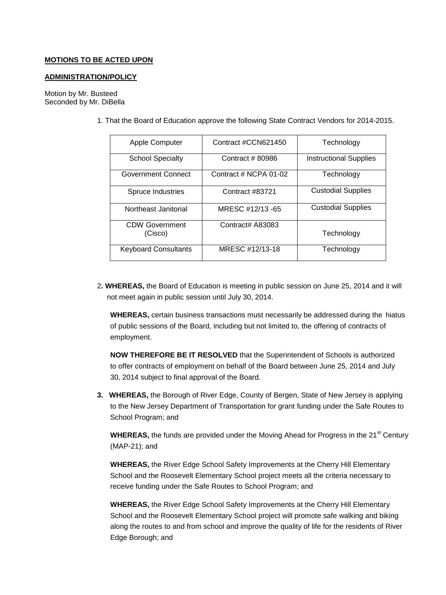### **MOTIONS TO BE ACTED UPON**

#### **ADMINISTRATION/POLICY**

Motion by Mr. Busteed Seconded by Mr. DiBella

1. That the Board of Education approve the following State Contract Vendors for 2014-2015.

| Apple Computer              | Contract #CCN621450   | Technology                    |
|-----------------------------|-----------------------|-------------------------------|
|                             |                       |                               |
| <b>School Specialty</b>     | Contract # 80986      | <b>Instructional Supplies</b> |
| Government Connect          | Contract # NCPA 01-02 | Technology                    |
|                             |                       |                               |
| Spruce Industries           | Contract #83721       | <b>Custodial Supplies</b>     |
|                             |                       |                               |
| Northeast Janitorial        | MRESC #12/13 -65      | <b>Custodial Supplies</b>     |
|                             |                       |                               |
| <b>CDW Government</b>       | Contract# A83083      |                               |
| (Cisco)                     |                       | Technology                    |
|                             |                       |                               |
| <b>Keyboard Consultants</b> | MRESC #12/13-18       | Technology                    |
|                             |                       |                               |

2**. WHEREAS,** the Board of Education is meeting in public session on June 25, 2014 and it will not meet again in public session until July 30, 2014.

**WHEREAS,** certain business transactions must necessarily be addressed during the hiatus of public sessions of the Board, including but not limited to, the offering of contracts of employment.

**NOW THEREFORE BE IT RESOLVED** that the Superintendent of Schools is authorized to offer contracts of employment on behalf of the Board between June 25, 2014 and July 30, 2014 subject to final approval of the Board.

**3. WHEREAS,** the Borough of River Edge, County of Bergen, State of New Jersey is applying to the New Jersey Department of Transportation for grant funding under the Safe Routes to School Program; and

**WHEREAS,** the funds are provided under the Moving Ahead for Progress in the 21<sup>st</sup> Century (MAP-21); and

**WHEREAS,** the River Edge School Safety Improvements at the Cherry Hill Elementary School and the Roosevelt Elementary School project meets all the criteria necessary to receive funding under the Safe Routes to School Program; and

**WHEREAS,** the River Edge School Safety Improvements at the Cherry Hill Elementary School and the Roosevelt Elementary School project will promote safe walking and biking along the routes to and from school and improve the quality of life for the residents of River Edge Borough; and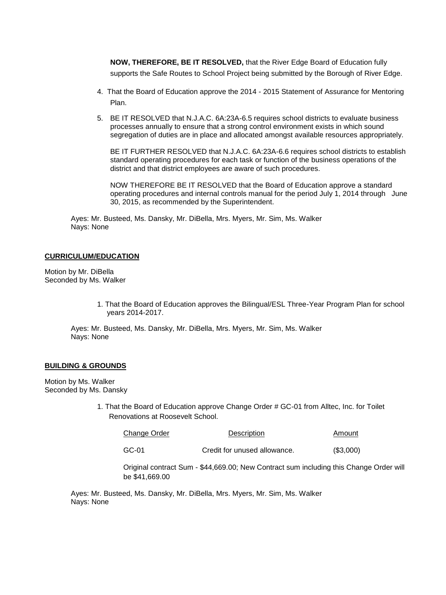**NOW, THEREFORE, BE IT RESOLVED,** that the River Edge Board of Education fully supports the Safe Routes to School Project being submitted by the Borough of River Edge.

- 4. That the Board of Education approve the 2014 2015 Statement of Assurance for Mentoring Plan.
- 5. BE IT RESOLVED that N.J.A.C. 6A:23A-6.5 requires school districts to evaluate business processes annually to ensure that a strong control environment exists in which sound segregation of duties are in place and allocated amongst available resources appropriately.

BE IT FURTHER RESOLVED that N.J.A.C. 6A:23A-6.6 requires school districts to establish standard operating procedures for each task or function of the business operations of the district and that district employees are aware of such procedures.

NOW THEREFORE BE IT RESOLVED that the Board of Education approve a standard operating procedures and internal controls manual for the period July 1, 2014 through June 30, 2015, as recommended by the Superintendent.

Ayes: Mr. Busteed, Ms. Dansky, Mr. DiBella, Mrs. Myers, Mr. Sim, Ms. Walker Nays: None

#### **CURRICULUM/EDUCATION**

Motion by Mr. DiBella Seconded by Ms. Walker

> 1. That the Board of Education approves the Bilingual/ESL Three-Year Program Plan for school years 2014-2017.

Ayes: Mr. Busteed, Ms. Dansky, Mr. DiBella, Mrs. Myers, Mr. Sim, Ms. Walker Nays: None

#### **BUILDING & GROUNDS**

Motion by Ms. Walker Seconded by Ms. Dansky

> 1. That the Board of Education approve Change Order # GC-01 from Alltec, Inc. for Toilet Renovations at Roosevelt School.

| Change Order | Description | Amount |
|--------------|-------------|--------|
|              |             |        |

GC-01 Credit for unused allowance. (\$3,000)

Original contract Sum - \$44,669.00; New Contract sum including this Change Order will be \$41,669.00

Ayes: Mr. Busteed, Ms. Dansky, Mr. DiBella, Mrs. Myers, Mr. Sim, Ms. Walker Nays: None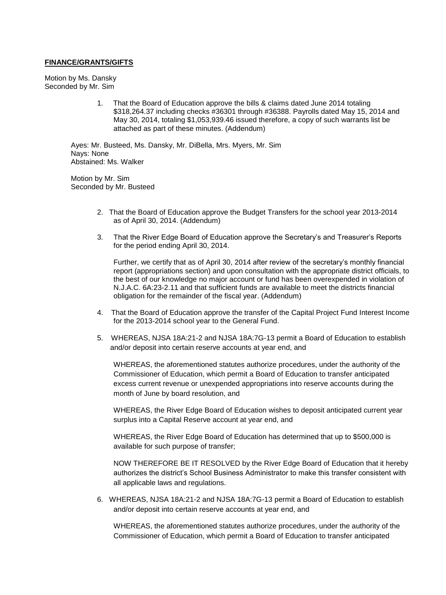#### **FINANCE/GRANTS/GIFTS**

Motion by Ms. Dansky Seconded by Mr. Sim

> 1. That the Board of Education approve the bills & claims dated June 2014 totaling \$318,264.37 including checks #36301 through #36388. Payrolls dated May 15, 2014 and May 30, 2014, totaling \$1,053,939.46 issued therefore, a copy of such warrants list be attached as part of these minutes. (Addendum)

Ayes: Mr. Busteed, Ms. Dansky, Mr. DiBella, Mrs. Myers, Mr. Sim Nays: None Abstained: Ms. Walker

Motion by Mr. Sim Seconded by Mr. Busteed

- 2. That the Board of Education approve the Budget Transfers for the school year 2013-2014 as of April 30, 2014. (Addendum)
- 3. That the River Edge Board of Education approve the Secretary's and Treasurer's Reports for the period ending April 30, 2014.

Further, we certify that as of April 30, 2014 after review of the secretary's monthly financial report (appropriations section) and upon consultation with the appropriate district officials, to the best of our knowledge no major account or fund has been overexpended in violation of N.J.A.C. 6A:23-2.11 and that sufficient funds are available to meet the districts financial obligation for the remainder of the fiscal year. (Addendum)

- 4. That the Board of Education approve the transfer of the Capital Project Fund Interest Income for the 2013-2014 school year to the General Fund.
- 5. WHEREAS, NJSA 18A:21-2 and NJSA 18A:7G-13 permit a Board of Education to establish and/or deposit into certain reserve accounts at year end, and

WHEREAS, the aforementioned statutes authorize procedures, under the authority of the Commissioner of Education, which permit a Board of Education to transfer anticipated excess current revenue or unexpended appropriations into reserve accounts during the month of June by board resolution, and

WHEREAS, the River Edge Board of Education wishes to deposit anticipated current year surplus into a Capital Reserve account at year end, and

WHEREAS, the River Edge Board of Education has determined that up to \$500,000 is available for such purpose of transfer;

NOW THEREFORE BE IT RESOLVED by the River Edge Board of Education that it hereby authorizes the district's School Business Administrator to make this transfer consistent with all applicable laws and regulations.

6. WHEREAS, NJSA 18A:21-2 and NJSA 18A:7G-13 permit a Board of Education to establish and/or deposit into certain reserve accounts at year end, and

WHEREAS, the aforementioned statutes authorize procedures, under the authority of the Commissioner of Education, which permit a Board of Education to transfer anticipated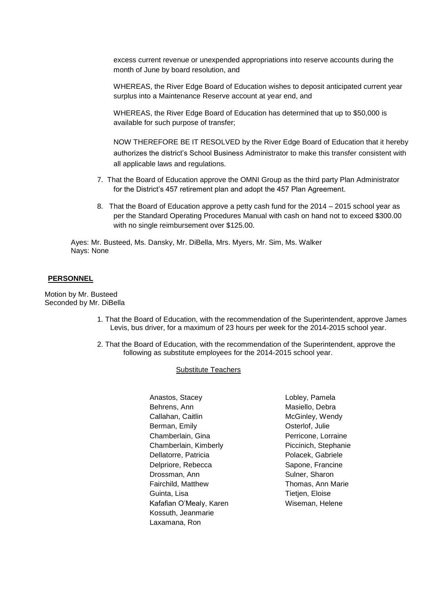excess current revenue or unexpended appropriations into reserve accounts during the month of June by board resolution, and

WHEREAS, the River Edge Board of Education wishes to deposit anticipated current year surplus into a Maintenance Reserve account at year end, and

WHEREAS, the River Edge Board of Education has determined that up to \$50,000 is available for such purpose of transfer;

NOW THEREFORE BE IT RESOLVED by the River Edge Board of Education that it hereby authorizes the district's School Business Administrator to make this transfer consistent with all applicable laws and regulations.

- 7. That the Board of Education approve the OMNI Group as the third party Plan Administrator for the District's 457 retirement plan and adopt the 457 Plan Agreement.
- 8. That the Board of Education approve a petty cash fund for the 2014 2015 school year as per the Standard Operating Procedures Manual with cash on hand not to exceed \$300.00 with no single reimbursement over \$125.00.

Ayes: Mr. Busteed, Ms. Dansky, Mr. DiBella, Mrs. Myers, Mr. Sim, Ms. Walker Nays: None

#### **PERSONNEL**

Motion by Mr. Busteed Seconded by Mr. DiBella

- 1. That the Board of Education, with the recommendation of the Superintendent, approve James Levis, bus driver, for a maximum of 23 hours per week for the 2014-2015 school year.
- 2. That the Board of Education, with the recommendation of the Superintendent, approve the following as substitute employees for the 2014-2015 school year.

#### Substitute Teachers

Anastos, Stacey Behrens, Ann Callahan, Caitlin Berman, Emily Chamberlain, Gina Chamberlain, Kimberly Dellatorre, Patricia Delpriore, Rebecca Drossman, Ann Fairchild, Matthew Guinta, Lisa Kafafian O'Mealy, Karen Kossuth, Jeanmarie Laxamana, Ron

Lobley, Pamela Masiello, Debra McGinley, Wendy Osterlof, Julie Perricone, Lorraine Piccinich, Stephanie Polacek, Gabriele Sapone, Francine Sulner, Sharon Thomas, Ann Marie Tietjen, Eloise Wiseman, Helene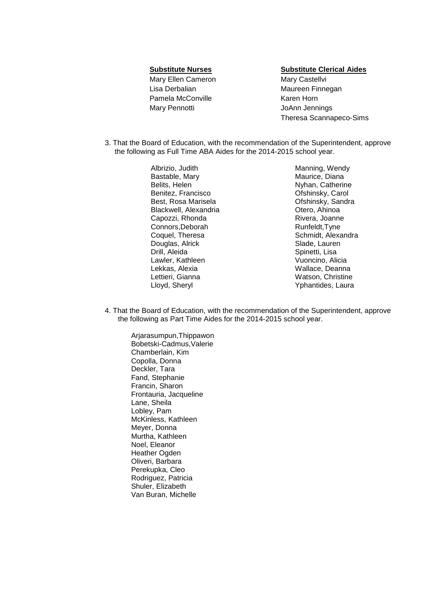Mary Ellen Cameron Mary Castellyi Lisa Derbalian Maureen Finnegan Pamela McConville **Karen Horn** Mary Pennotti **Mary Pennotti** JoAnn Jennings

**Substitute Nurses Substitute Clerical Aides**

Theresa Scannapeco-Sims

3. That the Board of Education, with the recommendation of the Superintendent, approve the following as Full Time ABA Aides for the 2014-2015 school year.

> Albrizio, Judith Bastable, Mary Belits, Helen Benitez, Francisco Best, Rosa Marisela Blackwell, Alexandria Capozzi, Rhonda Connors,Deborah Coquel, Theresa Douglas, Alrick Drill, Aleida Lawler, Kathleen Lekkas, Alexia Lettieri, Gianna Lloyd, Sheryl

Manning, Wendy Maurice, Diana Nyhan, Catherine Ofshinsky, Carol Ofshinsky, Sandra Otero, Ahinoa Rivera, Joanne Runfeldt,Tyne Schmidt, Alexandra Slade, Lauren Spinetti, Lisa Vuoncino, Alicia Wallace, Deanna Watson, Christine Yphantides, Laura

4. That the Board of Education, with the recommendation of the Superintendent, approve the following as Part Time Aides for the 2014-2015 school year.

Arjarasumpun,Thippawon Bobetski-Cadmus,Valerie Chamberlain, Kim Copolla, Donna Deckler, Tara Fand, Stephanie Francin, Sharon Frontauria, Jacqueline Lane, Sheila Lobley, Pam McKinless, Kathleen Meyer, Donna Murtha, Kathleen Noel, Eleanor Heather Ogden Oliveri, Barbara Perekupka, Cleo Rodriguez, Patricia Shuler, Elizabeth Van Buran, Michelle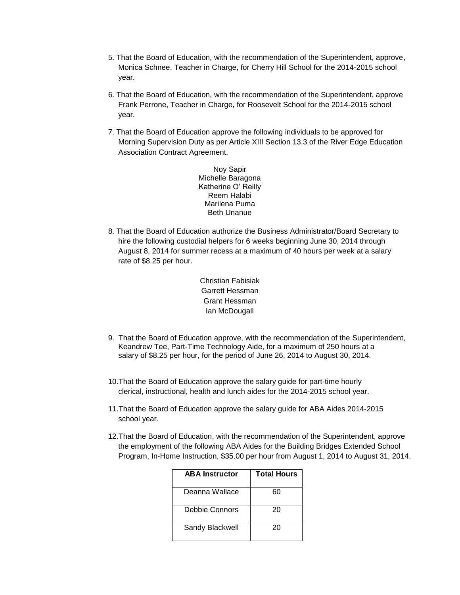- 5. That the Board of Education, with the recommendation of the Superintendent, approve, Monica Schnee, Teacher in Charge, for Cherry Hill School for the 2014-2015 school year.
- 6. That the Board of Education, with the recommendation of the Superintendent, approve Frank Perrone, Teacher in Charge, for Roosevelt School for the 2014-2015 school year.
- 7. That the Board of Education approve the following individuals to be approved for Morning Supervision Duty as per Article XIII Section 13.3 of the River Edge Education Association Contract Agreement.

Noy Sapir Michelle Baragona Katherine O' Reilly Reem Halabi Marilena Puma Beth Unanue

8. That the Board of Education authorize the Business Administrator/Board Secretary to hire the following custodial helpers for 6 weeks beginning June 30, 2014 through August 8, 2014 for summer recess at a maximum of 40 hours per week at a salary rate of \$8.25 per hour.

> Christian Fabisiak Garrett Hessman Grant Hessman Ian McDougall

- 9. That the Board of Education approve, with the recommendation of the Superintendent, Keandrew Tee, Part-Time Technology Aide, for a maximum of 250 hours at a salary of \$8.25 per hour, for the period of June 26, 2014 to August 30, 2014.
- 10.That the Board of Education approve the salary guide for part-time hourly clerical, instructional, health and lunch aides for the 2014-2015 school year.
- 11.That the Board of Education approve the salary guide for ABA Aides 2014-2015 school year.
- 12.That the Board of Education, with the recommendation of the Superintendent, approve the employment of the following ABA Aides for the Building Bridges Extended School Program, In-Home Instruction, \$35.00 per hour from August 1, 2014 to August 31, 2014.

| <b>ABA</b> Instructor | <b>Total Hours</b> |
|-----------------------|--------------------|
| Deanna Wallace        | 60                 |
| Debbie Connors        | 20                 |
| Sandy Blackwell       | 20                 |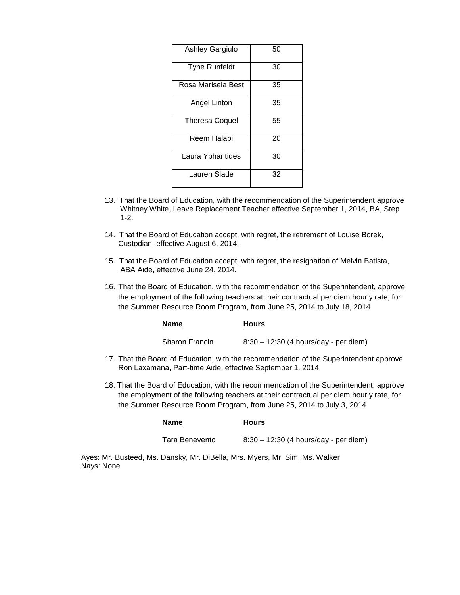| <b>Ashley Gargiulo</b> | 50 |
|------------------------|----|
| <b>Tyne Runfeldt</b>   | 30 |
| Rosa Marisela Best     | 35 |
| Angel Linton           | 35 |
| <b>Theresa Coquel</b>  | 55 |
| Reem Halabi            | 20 |
| Laura Yphantides       | 30 |
| Lauren Slade           | 32 |

- 13. That the Board of Education, with the recommendation of the Superintendent approve Whitney White, Leave Replacement Teacher effective September 1, 2014, BA, Step 1-2.
- 14. That the Board of Education accept, with regret, the retirement of Louise Borek, Custodian, effective August 6, 2014.
- 15. That the Board of Education accept, with regret, the resignation of Melvin Batista, ABA Aide, effective June 24, 2014.
- 16. That the Board of Education, with the recommendation of the Superintendent, approve the employment of the following teachers at their contractual per diem hourly rate, for the Summer Resource Room Program, from June 25, 2014 to July 18, 2014

| <b>Name</b>           | <b>Hours</b>                                                                      |
|-----------------------|-----------------------------------------------------------------------------------|
| <b>Sharon Francin</b> | $8:30 - 12:30$ (4 hours/day - per diem)                                           |
|                       | 7 That the Roard of Education, with the recommendation of the Superintendent anni |

- 17. That the Board of Education, with the recommendation of the Superintendent approve Ron Laxamana, Part-time Aide, effective September 1, 2014.
- 18. That the Board of Education, with the recommendation of the Superintendent, approve the employment of the following teachers at their contractual per diem hourly rate, for the Summer Resource Room Program, from June 25, 2014 to July 3, 2014

| <b>Name</b>    | <b>Hours</b>                            |
|----------------|-----------------------------------------|
| Tara Benevento | $8:30 - 12:30$ (4 hours/day - per diem) |

Ayes: Mr. Busteed, Ms. Dansky, Mr. DiBella, Mrs. Myers, Mr. Sim, Ms. Walker Nays: None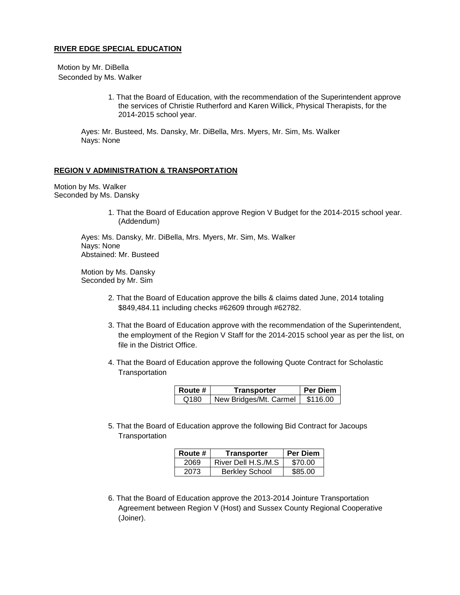#### **RIVER EDGE SPECIAL EDUCATION**

Motion by Mr. DiBella Seconded by Ms. Walker

> 1. That the Board of Education, with the recommendation of the Superintendent approve the services of Christie Rutherford and Karen Willick, Physical Therapists, for the 2014-2015 school year.

Ayes: Mr. Busteed, Ms. Dansky, Mr. DiBella, Mrs. Myers, Mr. Sim, Ms. Walker Nays: None

#### **REGION V ADMINISTRATION & TRANSPORTATION**

Motion by Ms. Walker Seconded by Ms. Dansky

> 1. That the Board of Education approve Region V Budget for the 2014-2015 school year. (Addendum)

Ayes: Ms. Dansky, Mr. DiBella, Mrs. Myers, Mr. Sim, Ms. Walker Nays: None Abstained: Mr. Busteed

Motion by Ms. Dansky Seconded by Mr. Sim

- 2. That the Board of Education approve the bills & claims dated June, 2014 totaling \$849,484.11 including checks #62609 through #62782.
- 3. That the Board of Education approve with the recommendation of the Superintendent, the employment of the Region V Staff for the 2014-2015 school year as per the list, on file in the District Office.
- 4. That the Board of Education approve the following Quote Contract for Scholastic **Transportation**

| ∣ Route #        | Transporter            | <b>Per Diem</b> |
|------------------|------------------------|-----------------|
| Q <sub>180</sub> | New Bridges/Mt. Carmel | \$116.00        |

5. That the Board of Education approve the following Bid Contract for Jacoups **Transportation** 

| Route # | <b>Transporter</b>    | <b>Per Diem</b> |
|---------|-----------------------|-----------------|
| 2069    | River Dell H.S./M.S   | \$70.00         |
| 2073    | <b>Berkley School</b> | \$85.00         |

6. That the Board of Education approve the 2013-2014 Jointure Transportation Agreement between Region V (Host) and Sussex County Regional Cooperative (Joiner).